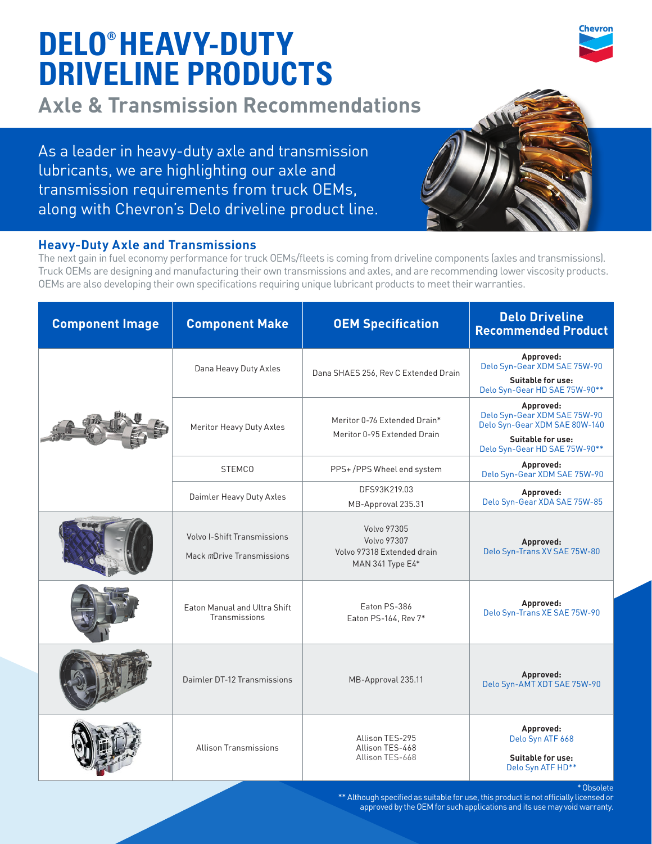# **DELO® HEAVY-DUTY DRIVELINE PRODUCTS**

**Axle & Transmission Recommendations**

As a leader in heavy-duty axle and transmission lubricants, we are highlighting our axle and transmission requirements from truck OEMs, along with Chevron's Delo driveline product line.



## **Heavy-Duty Axle and Transmissions**

The next gain in fuel economy performance for truck OEMs/fleets is coming from driveline components (axles and transmissions). Truck OEMs are designing and manufacturing their own transmissions and axles, and are recommending lower viscosity products. OEMs are also developing their own specifications requiring unique lubricant products to meet their warranties.

| <b>Component Image</b> | <b>Component Make</b>                                    | <b>OEM Specification</b>                                                              | <b>Delo Driveline</b><br><b>Recommended Product</b>                                                    |
|------------------------|----------------------------------------------------------|---------------------------------------------------------------------------------------|--------------------------------------------------------------------------------------------------------|
|                        | Dana Heavy Duty Axles                                    | Dana SHAES 256, Rev C Extended Drain                                                  | Approved:<br>Delo Syn-Gear XDM SAE 75W-90<br>Suitable for use:<br>Delo Syn-Gear HD SAE 75W-90**        |
|                        | Meritor Heavy Duty Axles                                 | Meritor 0-76 Extended Drain*<br>Meritor 0-95 Extended Drain                           | Approved:<br>Delo Syn-Gear XDM SAE 75W-90<br>Delo Syn-Gear XDM SAE 80W-140<br><b>Suitable for use:</b> |
|                        | <b>STEMCO</b>                                            | PPS+/PPS Wheel end system                                                             | Delo Syn-Gear HD SAE 75W-90**<br>Approved:<br>Delo Syn-Gear XDM SAE 75W-90                             |
|                        | Daimler Heavy Duty Axles                                 | DFS93K219.03<br>MB-Approval 235.31                                                    | Approved:<br>Delo Syn-Gear XDA SAE 75W-85                                                              |
|                        | Volvo I-Shift Transmissions<br>Mack mDrive Transmissions | <b>Volvo 97305</b><br>Volvo 97307<br>Volvo 97318 Extended drain<br>MAN 341 Type $E4*$ | Approved:<br>Delo Syn-Trans XV SAE 75W-80                                                              |
|                        | Eaton Manual and Ultra Shift<br>Transmissions            | Eaton PS-386<br>Eaton PS-164, Rev 7*                                                  | Approved:<br>Delo Syn-Trans XE SAE 75W-90                                                              |
|                        | Daimler DT-12 Transmissions                              | MB-Approval 235.11                                                                    | Approved:<br>Delo Syn-AMT XDT SAE 75W-90                                                               |
|                        | <b>Allison Transmissions</b>                             | Allison TES-295<br>Allison TES-468<br>Allison TES-668                                 | Approved:<br>Delo Syn ATF 668<br><b>Suitable for use:</b><br>Delo Syn ATF HD**                         |

\* Obsolete

\*\* Although specified as suitable for use, this product is not officially licensed or approved by the OEM for such applications and its use may void warranty.